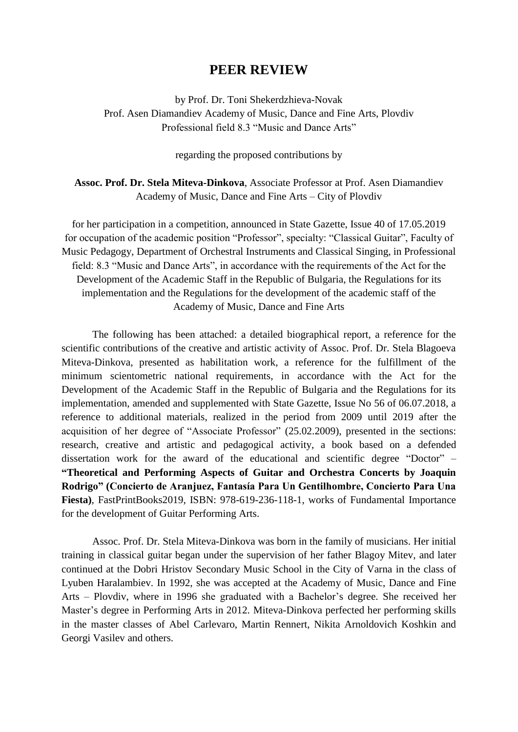# **PEER REVIEW**

by Prof. Dr. Toni Shekerdzhieva-Novak Prof. Asen Diamandiev Academy of Music, Dance and Fine Arts, Plovdiv Professional field 8.3 "Music and Dance Arts"

regarding the proposed contributions by

**Assoc. Prof. Dr. Stela Miteva-Dinkova**, Associate Professor at Prof. Asen Diamandiev Academy of Music, Dance and Fine Arts – City of Plovdiv

for her participation in a competition, announced in State Gazette, Issue 40 of 17.05.2019 for occupation of the academic position "Professor", specialty: "Classical Guitar", Faculty of Music Pedagogy, Department of Orchestral Instruments and Classical Singing, in Professional field: 8.3 "Music and Dance Arts", in accordance with the requirements of the Act for the Development of the Academic Staff in the Republic of Bulgaria, the Regulations for its implementation and the Regulations for the development of the academic staff of the Academy of Music, Dance and Fine Arts

The following has been attached: a detailed biographical report, a reference for the scientific contributions of the creative and artistic activity of Assoc. Prof. Dr. Stela Blagoeva Miteva-Dinkova, presented as habilitation work, a reference for the fulfillment of the minimum scientometric national requirements, in accordance with the Act for the Development of the Academic Staff in the Republic of Bulgaria and the Regulations for its implementation, amended and supplemented with State Gazette, Issue No 56 of 06.07.2018, a reference to additional materials, realized in the period from 2009 until 2019 after the acquisition of her degree of "Associate Professor" (25.02.2009), presented in the sections: research, creative and artistic and pedagogical activity, a book based on a defended dissertation work for the award of the educational and scientific degree "Doctor" – **"Theoretical and Performing Aspects of Guitar and Orchestra Concerts by Joaquin Rodrigo" (Concierto de Aranjuez, Fantasía Para Un Gentilhombre, Concierto Para Una Fiesta)**, FastPrintBooks2019, ISBN: 978-619-236-118-1, works of Fundamental Importance for the development of Guitar Performing Arts.

Assoc. Prof. Dr. Stela Miteva-Dinkova was born in the family of musicians. Her initial training in classical guitar began under the supervision of her father Blagoy Mitev, and later continued at the Dobri Hristov Secondary Music School in the City of Varna in the class of Lyuben Haralambiev. In 1992, she was accepted at the Academy of Music, Dance and Fine Arts – Plovdiv, where in 1996 she graduated with a Bachelor's degree. She received her Master's degree in Performing Arts in 2012. Miteva-Dinkova perfected her performing skills in the master classes of Abel Carlevaro, Martin Rennert, Nikita Arnoldovich Koshkin and Georgi Vasilev and others.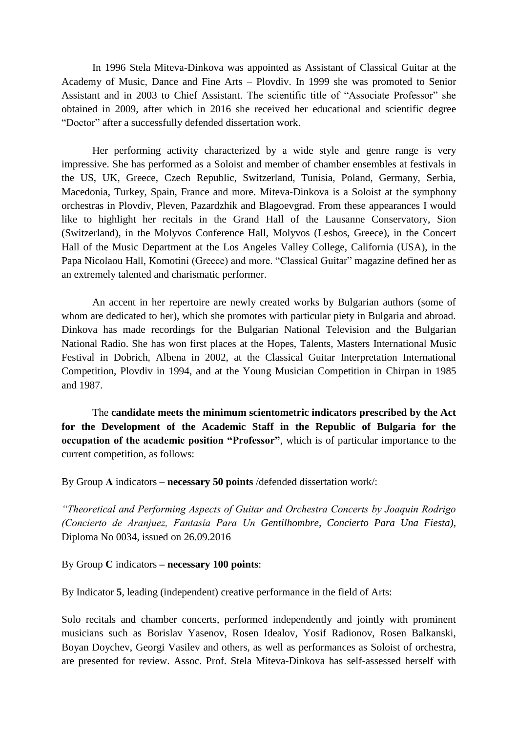In 1996 Stela Miteva-Dinkova was appointed as Assistant of Classical Guitar at the Academy of Music, Dance and Fine Arts – Plovdiv. In 1999 she was promoted to Senior Assistant and in 2003 to Chief Assistant. The scientific title of "Associate Professor" she obtained in 2009, after which in 2016 she received her educational and scientific degree "Doctor" after a successfully defended dissertation work.

Her performing activity characterized by a wide style and genre range is very impressive. She has performed as a Soloist and member of chamber ensembles at festivals in the US, UK, Greece, Czech Republic, Switzerland, Tunisia, Poland, Germany, Serbia, Macedonia, Turkey, Spain, France and more. Miteva-Dinkova is a Soloist at the symphony orchestras in Plovdiv, Pleven, Pazardzhik and Blagoevgrad. From these appearances I would like to highlight her recitals in the Grand Hall of the Lausanne Conservatory, Sion (Switzerland), in the Molyvos Conference Hall, Molyvos (Lesbos, Greece), in the Concert Hall of the Music Department at the Los Angeles Valley College, California (USA), in the Papa Nicolaou Hall, Komotini (Greece) and more. "Classical Guitar" magazine defined her as an extremely talented and charismatic performer.

An accent in her repertoire are newly created works by Bulgarian authors (some of whom are dedicated to her), which she promotes with particular piety in Bulgaria and abroad. Dinkova has made recordings for the Bulgarian National Television and the Bulgarian National Radio. She has won first places at the Hopes, Talents, Masters International Music Festival in Dobrich, Albena in 2002, at the Classical Guitar Interpretation International Competition, Plovdiv in 1994, and at the Young Musician Competition in Chirpan in 1985 and 1987.

The **candidate meets the minimum scientometric indicators prescribed by the Act for the Development of the Academic Staff in the Republic of Bulgaria for the occupation of the academic position "Professor"**, which is of particular importance to the current competition, as follows:

By Group **А** indicators **– necessary 50 points** /defended dissertation work/:

*"Theoretical and Performing Aspects of Guitar and Orchestra Concerts by Joaquin Rodrigo (Concierto de Aranjuez, Fantasía Para Un Gentilhombre, Concierto Para Una Fiesta),* Diploma No 0034, issued on 26.09.2016

By Group **C** indicators **– necessary 100 points**:

By Indicator **5**, leading (independent) creative performance in the field of Arts:

Solo recitals and chamber concerts, performed independently and jointly with prominent musicians such as Borislav Yasenov, Rosen Idealov, Yosif Radionov, Rosen Balkanski, Boyan Doychev, Georgi Vasilev and others, as well as performances as Soloist of orchestra, are presented for review. Assoc. Prof. Stela Miteva-Dinkova has self-assessed herself with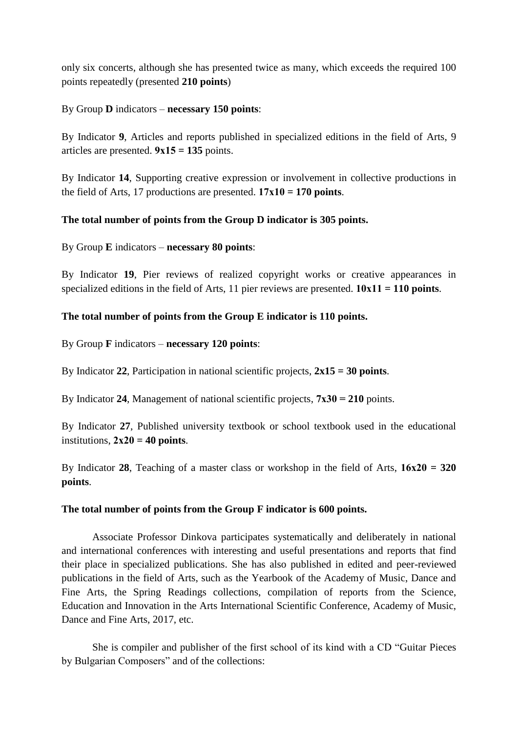only six concerts, although she has presented twice as many, which exceeds the required 100 points repeatedly (presented **210 points**)

### By Group **D** indicators – **necessary 150 points**:

By Indicator **9**, Articles and reports published in specialized editions in the field of Arts, 9 articles are presented.  $9x15 = 135$  points.

By Indicator **14**, Supporting creative expression or involvement in collective productions in the field of Arts, 17 productions are presented.  $17x10 = 170$  points.

## **The total number of points from the Group D indicator is 305 points.**

By Group **E** indicators – **necessary 80 points**:

By Indicator **19**, Pier reviews of realized copyright works or creative appearances in specialized editions in the field of Arts, 11 pier reviews are presented. **10х11 = 110 points**.

### **The total number of points from the Group E indicator is 110 points.**

By Group **F** indicators – **necessary 120 points**:

By Indicator **22**, Participation in national scientific projects, **2x15 = 30 points**.

By Indicator **24**, Management of national scientific projects, **7х30 = 210** points.

By Indicator **27**, Published university textbook or school textbook used in the educational institutions,  $2x20 = 40$  points.

By Indicator **28**, Teaching of a master class or workshop in the field of Arts, **16х20 = 320 points**.

#### **The total number of points from the Group F indicator is 600 points.**

Associate Professor Dinkova participates systematically and deliberately in national and international conferences with interesting and useful presentations and reports that find their place in specialized publications. She has also published in edited and peer-reviewed publications in the field of Arts, such as the Yearbook of the Academy of Music, Dance and Fine Arts, the Spring Readings collections, compilation of reports from the Science, Education and Innovation in the Arts International Scientific Conference, Academy of Music, Dance and Fine Arts, 2017, etc.

She is compiler and publisher of the first school of its kind with a CD "Guitar Pieces by Bulgarian Composers" and of the collections: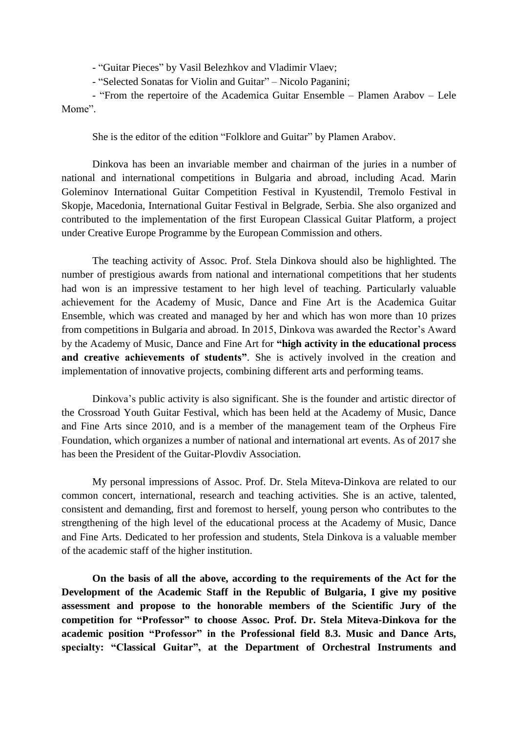- "Guitar Pieces" by Vasil Belezhkov and Vladimir Vlaev;

- "Selected Sonatas for Violin and Guitar" – Nicolo Paganini;

- "From the repertoire of the Academica Guitar Ensemble – Plamen Arabov – Lele Mome".

She is the editor of the edition "Folklore and Guitar" by Plamen Arabov.

Dinkova has been an invariable member and chairman of the juries in a number of national and international competitions in Bulgaria and abroad, including Acad. Marin Goleminov International Guitar Competition Festival in Kyustendil, Tremolo Festival in Skopje, Macedonia, International Guitar Festival in Belgrade, Serbia. She also organized and contributed to the implementation of the first European Classical Guitar Platform, a project under Creative Europe Programme by the European Commission and others.

The teaching activity of Assoc. Prof. Stela Dinkova should also be highlighted. The number of prestigious awards from national and international competitions that her students had won is an impressive testament to her high level of teaching. Particularly valuable achievement for the Academy of Music, Dance and Fine Art is the Academica Guitar Ensemble, which was created and managed by her and which has won more than 10 prizes from competitions in Bulgaria and abroad. In 2015, Dinkova was awarded the Rector's Award by the Academy of Music, Dance and Fine Art for **"high activity in the educational process and creative achievements of students"**. She is actively involved in the creation and implementation of innovative projects, combining different arts and performing teams.

Dinkova's public activity is also significant. She is the founder and artistic director of the Crossroad Youth Guitar Festival, which has been held at the Academy of Music, Dance and Fine Arts since 2010, and is a member of the management team of the Orpheus Fire Foundation, which organizes a number of national and international art events. As of 2017 she has been the President of the Guitar-Plovdiv Association.

My personal impressions of Assoc. Prof. Dr. Stela Miteva-Dinkova are related to our common concert, international, research and teaching activities. She is an active, talented, consistent and demanding, first and foremost to herself, young person who contributes to the strengthening of the high level of the educational process at the Academy of Music, Dance and Fine Arts. Dedicated to her profession and students, Stela Dinkova is a valuable member of the academic staff of the higher institution.

**On the basis of all the above, according to the requirements of the Act for the Development of the Academic Staff in the Republic of Bulgaria, I give my positive assessment and propose to the honorable members of the Scientific Jury of the competition for "Professor" to choose Assoc. Prof. Dr. Stela Miteva-Dinkova for the academic position "Professor" in the Professional field 8.3. Music and Dance Arts, specialty: "Classical Guitar", at the Department of Orchestral Instruments and**